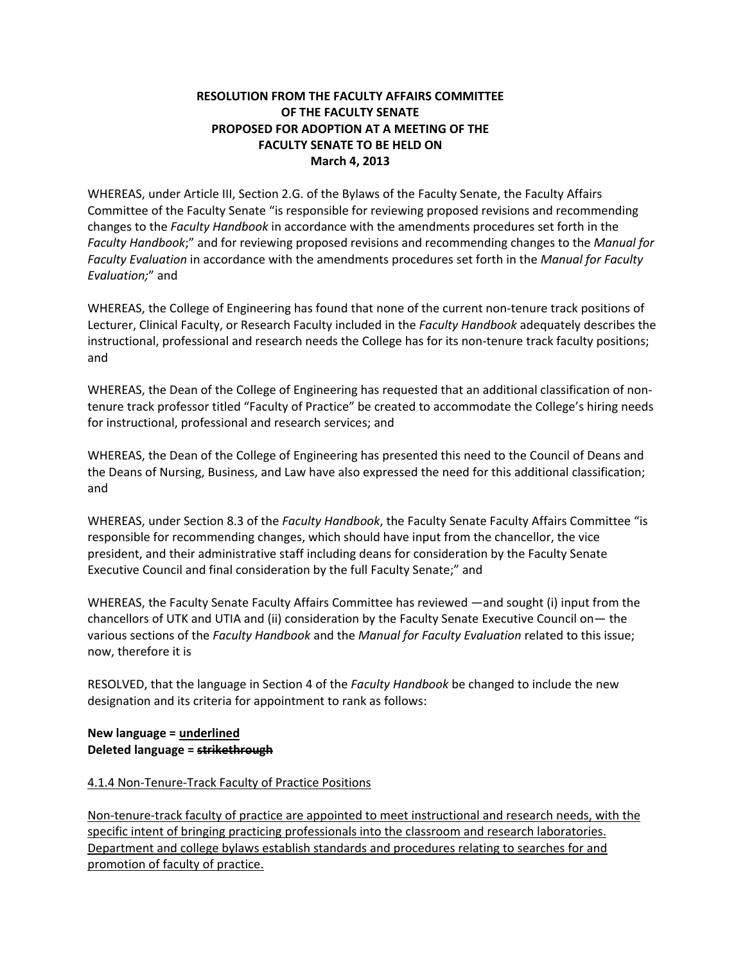# **RESOLUTION FROM THE FACULTY AFFAIRS COMMITTEE OF THE FACULTY SENATE PROPOSED FOR ADOPTION AT A MEETING OF THE FACULTY SENATE TO BE HELD ON March 4, 2013**

WHEREAS, under Article III, Section 2.G. of the Bylaws of the Faculty Senate, the Faculty Affairs Committee of the Faculty Senate "is responsible for reviewing proposed revisions and recommending changes to the *Faculty Handbook* in accordance with the amendments procedures set forth in the *Faculty Handbook*;" and for reviewing proposed revisions and recommending changes to the *Manual for Faculty Evaluation* in accordance with the amendments procedures set forth in the *Manual for Faculty Evaluation;*" and

WHEREAS, the College of Engineering has found that none of the current non‐tenure track positions of Lecturer, Clinical Faculty, or Research Faculty included in the *Faculty Handbook* adequately describes the instructional, professional and research needs the College has for its non-tenure track faculty positions; and

WHEREAS, the Dean of the College of Engineering has requested that an additional classification of non‐ tenure track professor titled "Faculty of Practice" be created to accommodate the College's hiring needs for instructional, professional and research services; and

WHEREAS, the Dean of the College of Engineering has presented this need to the Council of Deans and the Deans of Nursing, Business, and Law have also expressed the need for this additional classification; and

WHEREAS, under Section 8.3 of the *Faculty Handbook*, the Faculty Senate Faculty Affairs Committee "is responsible for recommending changes, which should have input from the chancellor, the vice president, and their administrative staff including deans for consideration by the Faculty Senate Executive Council and final consideration by the full Faculty Senate;" and

WHEREAS, the Faculty Senate Faculty Affairs Committee has reviewed —and sought (i) input from the chancellors of UTK and UTIA and (ii) consideration by the Faculty Senate Executive Council on— the various sections of the *Faculty Handbook* and the *Manual for Faculty Evaluation* related to this issue; now, therefore it is

RESOLVED, that the language in Section 4 of the *Faculty Handbook* be changed to include the new designation and its criteria for appointment to rank as follows:

### **New language = underlined Deleted language = strikethrough**

# 4.1.4 Non‐Tenure‐Track Faculty of Practice Positions

Non-tenure-track faculty of practice are appointed to meet instructional and research needs, with the specific intent of bringing practicing professionals into the classroom and research laboratories. Department and college bylaws establish standards and procedures relating to searches for and promotion of faculty of practice.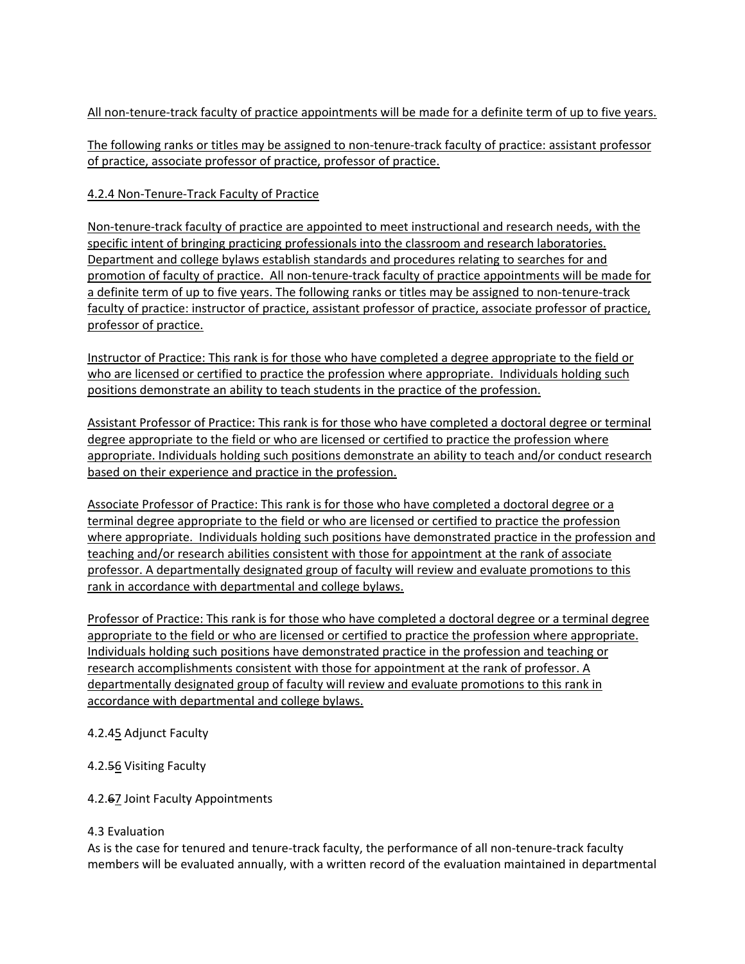All non-tenure-track faculty of practice appointments will be made for a definite term of up to five years.

The following ranks or titles may be assigned to non-tenure-track faculty of practice: assistant professor of practice, associate professor of practice, professor of practice.

### 4.2.4 Non‐Tenure‐Track Faculty of Practice

Non-tenure-track faculty of practice are appointed to meet instructional and research needs, with the specific intent of bringing practicing professionals into the classroom and research laboratories. Department and college bylaws establish standards and procedures relating to searches for and promotion of faculty of practice. All non‐tenure‐track faculty of practice appointments will be made for a definite term of up to five years. The following ranks or titles may be assigned to non-tenure-track faculty of practice: instructor of practice, assistant professor of practice, associate professor of practice, professor of practice.

Instructor of Practice: This rank is for those who have completed a degree appropriate to the field or who are licensed or certified to practice the profession where appropriate. Individuals holding such positions demonstrate an ability to teach students in the practice of the profession.

Assistant Professor of Practice: This rank is for those who have completed a doctoral degree or terminal degree appropriate to the field or who are licensed or certified to practice the profession where appropriate. Individuals holding such positions demonstrate an ability to teach and/or conduct research based on their experience and practice in the profession.

Associate Professor of Practice: This rank is for those who have completed a doctoral degree or a terminal degree appropriate to the field or who are licensed or certified to practice the profession where appropriate. Individuals holding such positions have demonstrated practice in the profession and teaching and/or research abilities consistent with those for appointment at the rank of associate professor. A departmentally designated group of faculty will review and evaluate promotions to this rank in accordance with departmental and college bylaws.

Professor of Practice: This rank is for those who have completed a doctoral degree or a terminal degree appropriate to the field or who are licensed or certified to practice the profession where appropriate. Individuals holding such positions have demonstrated practice in the profession and teaching or research accomplishments consistent with those for appointment at the rank of professor. A departmentally designated group of faculty will review and evaluate promotions to this rank in accordance with departmental and college bylaws.

#### 4.2.45 Adjunct Faculty

#### 4.2.56 Visiting Faculty

#### 4.2.67 Joint Faculty Appointments

#### 4.3 Evaluation

As is the case for tenured and tenure-track faculty, the performance of all non-tenure-track faculty members will be evaluated annually, with a written record of the evaluation maintained in departmental